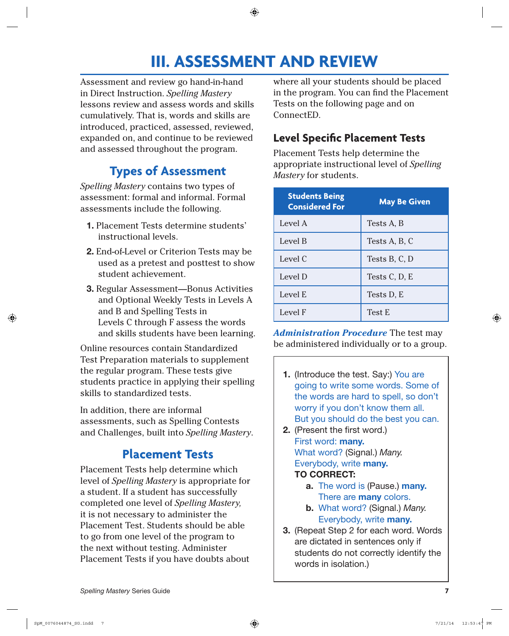# **III. ASSESSMENT AND REVIEW**

Assessment and review go hand-in-hand in Direct Instruction. *Spelling Mastery* lessons review and assess words and skills cumulatively. That is, words and skills are introduced, practiced, assessed, reviewed, expanded on, and continue to be reviewed and assessed throughout the program.

## **Types of Assessment**

*Spelling Mastery* contains two types of assessment: formal and informal. Formal assessments include the following.

- **1.** Placement Tests determine students' instructional levels.
- **2.** End-of-Level or Criterion Tests may be used as a pretest and posttest to show student achievement.
- **3.** Regular Assessment—Bonus Activities and Optional Weekly Tests in Levels A and B and Spelling Tests in Levels C through F assess the words and skills students have been learning.

Online resources contain Standardized Test Preparation materials to supplement the regular program. These tests give students practice in applying their spelling skills to standardized tests.

In addition, there are informal assessments, such as Spelling Contests and Challenges, built into *Spelling Mastery*.

### **Placement Tests**

Placement Tests help determine which level of *Spelling Mastery* is appropriate for a student. If a student has successfully completed one level of *Spelling Mastery,* it is not necessary to administer the Placement Test. Students should be able to go from one level of the program to the next without testing. Administer Placement Tests if you have doubts about

where all your students should be placed in the program. You can find the Placement Tests on the following page and on ConnectED.

#### **Level Specific Placement Tests**

Placement Tests help determine the appropriate instructional level of *Spelling Mastery* for students.

| <b>Students Being</b><br><b>Considered For</b> | <b>May Be Given</b> |
|------------------------------------------------|---------------------|
| Level A                                        | Tests A, B          |
| Level B                                        | Tests A, B, C       |
| Level C                                        | Tests B, C, D       |
| Level D                                        | Tests C, D, E       |
| Level E                                        | Tests D, E          |
| Level F                                        | <b>Test E</b>       |

*Administration Procedure* The test may be administered individually or to a group.

- **1.** (Introduce the test. Say:) You are going to write some words. Some of the words are hard to spell, so don't worry if you don't know them all. But you should do the best you can.
- **2.** (Present the first word.) First word: **many.** What word? (Signal.) Many. Everybody, write **many.**

#### **TO CORRECT:**

- **a.** The word is (Pause.) **many.** There are **many** colors.
- **b.** What word? (Signal.) Many. Everybody, write **many.**
- **3.** (Repeat Step 2 for each word. Words are dictated in sentences only if students do not correctly identify the words in isolation.)